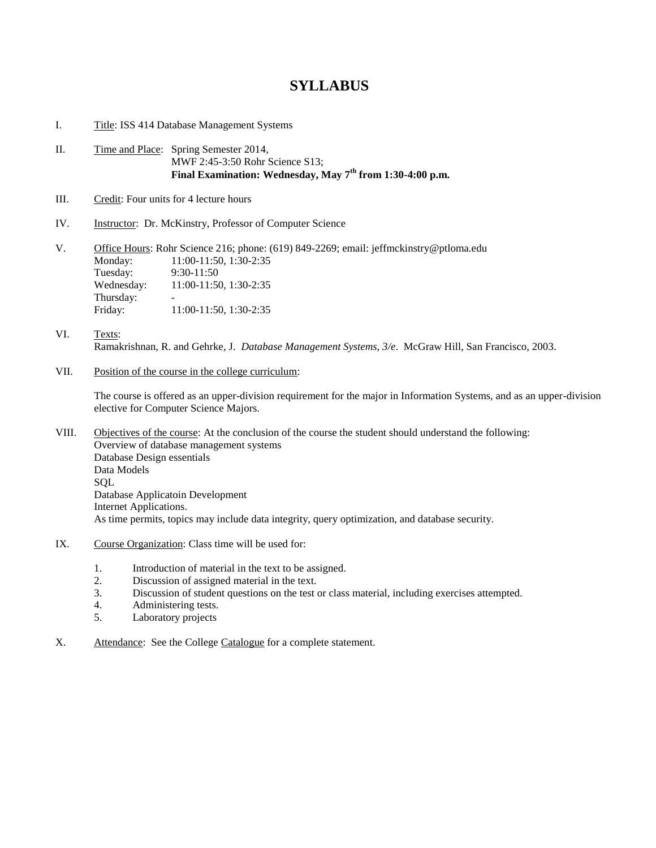## **SYLLABUS**

- I. Title: ISS 414 Database Management Systems
- II. Time and Place: Spring Semester 2014, MWF 2:45-3:50 Rohr Science S13; **Final Examination: Wednesday, May 7th from 1:30-4:00 p.m.**
- III. Credit: Four units for 4 lecture hours
- IV. Instructor: Dr. McKinstry, Professor of Computer Science

V. Office Hours: Rohr Science 216; phone: (619) 849-2269; email: jeffmckinstry@ptloma.edu Monday: 11:00-11:50, 1:30-2:35 Tuesday: 9:30-11:50 Wednesday: 11:00-11:50, 1:30-2:35 Thursday: Friday: 11:00-11:50, 1:30-2:35

- VI. Texts: Ramakrishnan, R. and Gehrke, J. *Database Management Systems, 3/e*. McGraw Hill, San Francisco, 2003.
- VII. Position of the course in the college curriculum:

The course is offered as an upper-division requirement for the major in Information Systems, and as an upper-division elective for Computer Science Majors.

VIII. Objectives of the course: At the conclusion of the course the student should understand the following: Overview of database management systems Database Design essentials Data Models **SQL** Database Applicatoin Development Internet Applications. As time permits, topics may include data integrity, query optimization, and database security.

- IX. Course Organization: Class time will be used for:
	- 1. Introduction of material in the text to be assigned.
	- 2. Discussion of assigned material in the text.
	- 3. Discussion of student questions on the test or class material, including exercises attempted.
	- 4. Administering tests.
	- 5. Laboratory projects
- X. Attendance: See the College Catalogue for a complete statement.